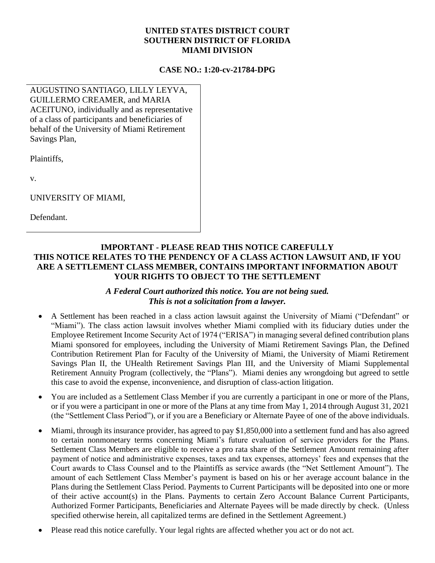## **UNITED STATES DISTRICT COURT SOUTHERN DISTRICT OF FLORIDA MIAMI DIVISION**

## **CASE NO.: 1:20-cv-21784-DPG**

AUGUSTINO SANTIAGO, LILLY LEYVA, GUILLERMO CREAMER, and MARIA ACEITUNO, individually and as representative of a class of participants and beneficiaries of behalf of the University of Miami Retirement Savings Plan,

Plaintiffs,

v.

UNIVERSITY OF MIAMI,

Defendant.

## **IMPORTANT - PLEASE READ THIS NOTICE CAREFULLY THIS NOTICE RELATES TO THE PENDENCY OF A CLASS ACTION LAWSUIT AND, IF YOU ARE A SETTLEMENT CLASS MEMBER, CONTAINS IMPORTANT INFORMATION ABOUT YOUR RIGHTS TO OBJECT TO THE SETTLEMENT**

## *A Federal Court authorized this notice. You are not being sued. This is not a solicitation from a lawyer.*

- A Settlement has been reached in a class action lawsuit against the University of Miami ("Defendant" or "Miami"). The class action lawsuit involves whether Miami complied with its fiduciary duties under the Employee Retirement Income Security Act of 1974 ("ERISA") in managing several defined contribution plans Miami sponsored for employees, including the University of Miami Retirement Savings Plan, the Defined Contribution Retirement Plan for Faculty of the University of Miami, the University of Miami Retirement Savings Plan II, the UHealth Retirement Savings Plan III, and the University of Miami Supplemental Retirement Annuity Program (collectively, the "Plans"). Miami denies any wrongdoing but agreed to settle this case to avoid the expense, inconvenience, and disruption of class-action litigation.
- You are included as a Settlement Class Member if you are currently a participant in one or more of the Plans, or if you were a participant in one or more of the Plans at any time from May 1, 2014 through August 31, 2021 (the "Settlement Class Period"), or if you are a Beneficiary or Alternate Payee of one of the above individuals.
- Miami, through its insurance provider, has agreed to pay \$1,850,000 into a settlement fund and has also agreed to certain nonmonetary terms concerning Miami's future evaluation of service providers for the Plans. Settlement Class Members are eligible to receive a pro rata share of the Settlement Amount remaining after payment of notice and administrative expenses, taxes and tax expenses, attorneys' fees and expenses that the Court awards to Class Counsel and to the Plaintiffs as service awards (the "Net Settlement Amount"). The amount of each Settlement Class Member's payment is based on his or her average account balance in the Plans during the Settlement Class Period. Payments to Current Participants will be deposited into one or more of their active account(s) in the Plans. Payments to certain Zero Account Balance Current Participants, Authorized Former Participants, Beneficiaries and Alternate Payees will be made directly by check. (Unless specified otherwise herein, all capitalized terms are defined in the Settlement Agreement.)
- Please read this notice carefully. Your legal rights are affected whether you act or do not act.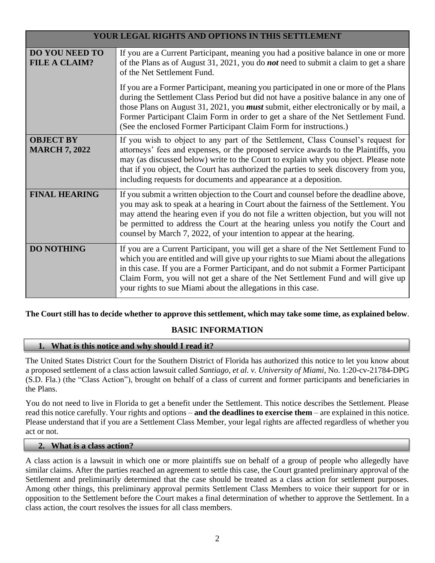| YOUR LEGAL RIGHTS AND OPTIONS IN THIS SETTLEMENT |                                                                                                                                                                                                                                                                                                                                                                                                                                         |  |
|--------------------------------------------------|-----------------------------------------------------------------------------------------------------------------------------------------------------------------------------------------------------------------------------------------------------------------------------------------------------------------------------------------------------------------------------------------------------------------------------------------|--|
| <b>DO YOU NEED TO</b><br><b>FILE A CLAIM?</b>    | If you are a Current Participant, meaning you had a positive balance in one or more<br>of the Plans as of August 31, 2021, you do <i>not</i> need to submit a claim to get a share<br>of the Net Settlement Fund.                                                                                                                                                                                                                       |  |
|                                                  | If you are a Former Participant, meaning you participated in one or more of the Plans<br>during the Settlement Class Period but did not have a positive balance in any one of<br>those Plans on August 31, 2021, you <i>must</i> submit, either electronically or by mail, a<br>Former Participant Claim Form in order to get a share of the Net Settlement Fund.<br>(See the enclosed Former Participant Claim Form for instructions.) |  |
| <b>OBJECT BY</b><br><b>MARCH 7, 2022</b>         | If you wish to object to any part of the Settlement, Class Counsel's request for<br>attorneys' fees and expenses, or the proposed service awards to the Plaintiffs, you<br>may (as discussed below) write to the Court to explain why you object. Please note<br>that if you object, the Court has authorized the parties to seek discovery from you,<br>including requests for documents and appearance at a deposition.               |  |
| <b>FINAL HEARING</b>                             | If you submit a written objection to the Court and counsel before the deadline above,<br>you may ask to speak at a hearing in Court about the fairness of the Settlement. You<br>may attend the hearing even if you do not file a written objection, but you will not<br>be permitted to address the Court at the hearing unless you notify the Court and<br>counsel by March 7, 2022, of your intention to appear at the hearing.      |  |
| <b>DO NOTHING</b>                                | If you are a Current Participant, you will get a share of the Net Settlement Fund to<br>which you are entitled and will give up your rights to sue Miami about the allegations<br>in this case. If you are a Former Participant, and do not submit a Former Participant<br>Claim Form, you will not get a share of the Net Settlement Fund and will give up<br>your rights to sue Miami about the allegations in this case.             |  |

**The Court still has to decide whether to approve this settlement, which may take some time, as explained below**.

# **BASIC INFORMATION**

## **1. What is this notice and why should I read it?**

The United States District Court for the Southern District of Florida has authorized this notice to let you know about a proposed settlement of a class action lawsuit called *Santiago, et al. v. University of Miami*, No. 1:20-cv-21784-DPG (S.D. Fla.) (the "Class Action"), brought on behalf of a class of current and former participants and beneficiaries in the Plans.

You do not need to live in Florida to get a benefit under the Settlement. This notice describes the Settlement. Please read this notice carefully. Your rights and options – **and the deadlines to exercise them** – are explained in this notice. Please understand that if you are a Settlement Class Member, your legal rights are affected regardless of whether you act or not.

#### **2. What is a class action?**

A class action is a lawsuit in which one or more plaintiffs sue on behalf of a group of people who allegedly have similar claims. After the parties reached an agreement to settle this case, the Court granted preliminary approval of the Settlement and preliminarily determined that the case should be treated as a class action for settlement purposes. Among other things, this preliminary approval permits Settlement Class Members to voice their support for or in opposition to the Settlement before the Court makes a final determination of whether to approve the Settlement. In a class action, the court resolves the issues for all class members.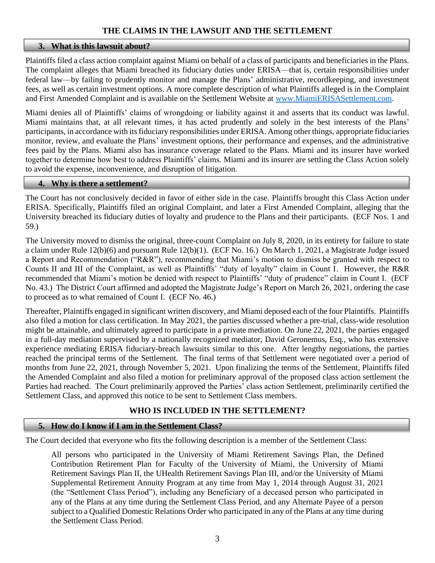## **THE CLAIMS IN THE LAWSUIT AND THE SETTLEMENT**

#### **3. What is this lawsuit about?**

Plaintiffs filed a class action complaint against Miami on behalf of a class of participants and beneficiaries in the Plans. The complaint alleges that Miami breached its fiduciary duties under ERISA—that is, certain responsibilities under federal law—by failing to prudently monitor and manage the Plans' administrative, recordkeeping, and investment fees, as well as certain investment options. A more complete description of what Plaintiffs alleged is in the Complaint and First Amended Complaint and is available on the Settlement Website at [www.MiamiERISASettlement.com.](http://www.miamierisasettlement.com/)

Miami denies all of Plaintiffs' claims of wrongdoing or liability against it and asserts that its conduct was lawful. Miami maintains that, at all relevant times, it has acted prudently and solely in the best interests of the Plans' participants, in accordance with its fiduciary responsibilities under ERISA. Among other things, appropriate fiduciaries monitor, review, and evaluate the Plans' investment options, their performance and expenses, and the administrative fees paid by the Plans. Miami also has insurance coverage related to the Plans. Miami and its insurer have worked together to determine how best to address Plaintiffs' claims. Miami and its insurer are settling the Class Action solely to avoid the expense, inconvenience, and disruption of litigation.

#### **4. Why is there a settlement?**

The Court has not conclusively decided in favor of either side in the case. Plaintiffs brought this Class Action under ERISA. Specifically, Plaintiffs filed an original Complaint, and later a First Amended Complaint, alleging that the University breached its fiduciary duties of loyalty and prudence to the Plans and their participants. (ECF Nos. 1 and 59.)

The University moved to dismiss the original, three-count Complaint on July 8, 2020, in its entirety for failure to state a claim under Rule 12(b)(6) and pursuant Rule 12(b)(1). (ECF No. 16.) On March 1, 2021, a Magistrate Judge issued a Report and Recommendation ("R&R"), recommending that Miami's motion to dismiss be granted with respect to Counts II and III of the Complaint, as well as Plaintiffs' "duty of loyalty" claim in Count I. However, the R&R recommended that Miami's motion be denied with respect to Plaintiffs' "duty of prudence" claim in Count I. (ECF No. 43.) The District Court affirmed and adopted the Magistrate Judge's Report on March 26, 2021, ordering the case to proceed as to what remained of Count I. (ECF No. 46.)

Thereafter, Plaintiffs engaged in significant written discovery, and Miami deposed each of the four Plaintiffs. Plaintiffs also filed a motion for class certification. In May 2021, the parties discussed whether a pre-trial, class-wide resolution might be attainable, and ultimately agreed to participate in a private mediation. On June 22, 2021, the parties engaged in a full-day mediation supervised by a nationally recognized mediator, David Geronemus, Esq., who has extensive experience mediating ERISA fiduciary-breach lawsuits similar to this one. After lengthy negotiations, the parties reached the principal terms of the Settlement. The final terms of that Settlement were negotiated over a period of months from June 22, 2021, through November 5, 2021. Upon finalizing the terms of the Settlement, Plaintiffs filed the Amended Complaint and also filed a motion for preliminary approval of the proposed class action settlement the Parties had reached. The Court preliminarily approved the Parties' class action Settlement, preliminarily certified the Settlement Class, and approved this notice to be sent to Settlement Class members.

## **WHO IS INCLUDED IN THE SETTLEMENT?**

#### **5. How do I know if I am in the Settlement Class?**

The Court decided that everyone who fits the following description is a member of the Settlement Class:

All persons who participated in the University of Miami Retirement Savings Plan, the Defined Contribution Retirement Plan for Faculty of the University of Miami, the University of Miami Retirement Savings Plan II, the UHealth Retirement Savings Plan III, and/or the University of Miami Supplemental Retirement Annuity Program at any time from May 1, 2014 through August 31, 2021 (the "Settlement Class Period"), including any Beneficiary of a deceased person who participated in any of the Plans at any time during the Settlement Class Period, and any Alternate Payee of a person subject to a Qualified Domestic Relations Order who participated in any of the Plans at any time during the Settlement Class Period.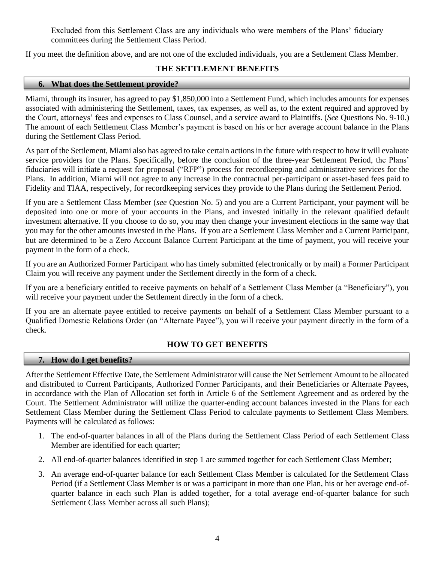Excluded from this Settlement Class are any individuals who were members of the Plans' fiduciary committees during the Settlement Class Period.

If you meet the definition above, and are not one of the excluded individuals, you are a Settlement Class Member.

# **THE SETTLEMENT BENEFITS**

# **6. What does the Settlement provide?**

Miami, through its insurer, has agreed to pay \$1,850,000 into a Settlement Fund, which includes amounts for expenses associated with administering the Settlement, taxes, tax expenses, as well as, to the extent required and approved by the Court, attorneys' fees and expenses to Class Counsel, and a service award to Plaintiffs. (*See* Questions No. 9-10.) The amount of each Settlement Class Member's payment is based on his or her average account balance in the Plans during the Settlement Class Period.

As part of the Settlement, Miami also has agreed to take certain actions in the future with respect to how it will evaluate service providers for the Plans. Specifically, before the conclusion of the three-year Settlement Period, the Plans' fiduciaries will initiate a request for proposal ("RFP") process for recordkeeping and administrative services for the Plans. In addition, Miami will not agree to any increase in the contractual per-participant or asset-based fees paid to Fidelity and TIAA, respectively, for recordkeeping services they provide to the Plans during the Settlement Period.

If you are a Settlement Class Member (*see* Question No. 5) and you are a Current Participant, your payment will be deposited into one or more of your accounts in the Plans, and invested initially in the relevant qualified default investment alternative. If you choose to do so, you may then change your investment elections in the same way that you may for the other amounts invested in the Plans. If you are a Settlement Class Member and a Current Participant, but are determined to be a Zero Account Balance Current Participant at the time of payment, you will receive your payment in the form of a check.

If you are an Authorized Former Participant who has timely submitted (electronically or by mail) a Former Participant Claim you will receive any payment under the Settlement directly in the form of a check.

If you are a beneficiary entitled to receive payments on behalf of a Settlement Class Member (a "Beneficiary"), you will receive your payment under the Settlement directly in the form of a check.

If you are an alternate payee entitled to receive payments on behalf of a Settlement Class Member pursuant to a Qualified Domestic Relations Order (an "Alternate Payee"), you will receive your payment directly in the form of a check.

# **HOW TO GET BENEFITS**

## **7. How do I get benefits?**

Ī

After the Settlement Effective Date, the Settlement Administrator will cause the Net Settlement Amount to be allocated and distributed to Current Participants, Authorized Former Participants, and their Beneficiaries or Alternate Payees, in accordance with the Plan of Allocation set forth in Article 6 of the Settlement Agreement and as ordered by the Court. The Settlement Administrator will utilize the quarter-ending account balances invested in the Plans for each Settlement Class Member during the Settlement Class Period to calculate payments to Settlement Class Members. Payments will be calculated as follows:

- 1. The end-of-quarter balances in all of the Plans during the Settlement Class Period of each Settlement Class Member are identified for each quarter;
- 2. All end-of-quarter balances identified in step 1 are summed together for each Settlement Class Member;
- 3. An average end-of-quarter balance for each Settlement Class Member is calculated for the Settlement Class Period (if a Settlement Class Member is or was a participant in more than one Plan, his or her average end-ofquarter balance in each such Plan is added together, for a total average end-of-quarter balance for such Settlement Class Member across all such Plans);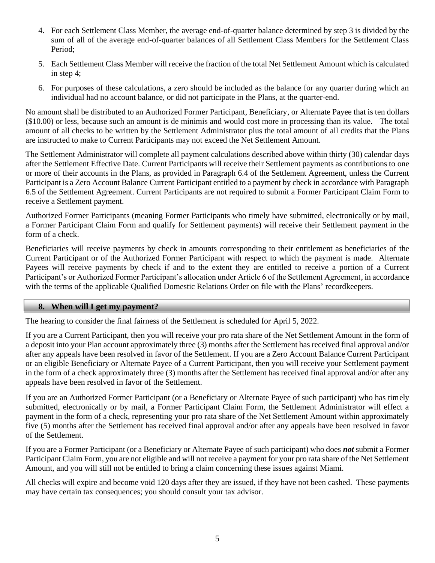- 4. For each Settlement Class Member, the average end-of-quarter balance determined by step 3 is divided by the sum of all of the average end-of-quarter balances of all Settlement Class Members for the Settlement Class Period;
- 5. Each Settlement Class Member will receive the fraction of the total Net Settlement Amount which is calculated in step 4;
- 6. For purposes of these calculations, a zero should be included as the balance for any quarter during which an individual had no account balance, or did not participate in the Plans, at the quarter-end.

No amount shall be distributed to an Authorized Former Participant, Beneficiary, or Alternate Payee that is ten dollars (\$10.00) or less, because such an amount is de minimis and would cost more in processing than its value. The total amount of all checks to be written by the Settlement Administrator plus the total amount of all credits that the Plans are instructed to make to Current Participants may not exceed the Net Settlement Amount.

The Settlement Administrator will complete all payment calculations described above within thirty (30) calendar days after the Settlement Effective Date. Current Participants will receive their Settlement payments as contributions to one or more of their accounts in the Plans, as provided in Paragraph 6.4 of the Settlement Agreement, unless the Current Participant is a Zero Account Balance Current Participant entitled to a payment by check in accordance with Paragraph 6.5 of the Settlement Agreement. Current Participants are not required to submit a Former Participant Claim Form to receive a Settlement payment.

Authorized Former Participants (meaning Former Participants who timely have submitted, electronically or by mail, a Former Participant Claim Form and qualify for Settlement payments) will receive their Settlement payment in the form of a check.

Beneficiaries will receive payments by check in amounts corresponding to their entitlement as beneficiaries of the Current Participant or of the Authorized Former Participant with respect to which the payment is made. Alternate Payees will receive payments by check if and to the extent they are entitled to receive a portion of a Current Participant's or Authorized Former Participant's allocation under Article 6 of the Settlement Agreement, in accordance with the terms of the applicable Qualified Domestic Relations Order on file with the Plans' recordkeepers.

## **8. When will I get my payment?**

The hearing to consider the final fairness of the Settlement is scheduled for April 5, 2022.

If you are a Current Participant, then you will receive your pro rata share of the Net Settlement Amount in the form of a deposit into your Plan account approximately three (3) months after the Settlement has received final approval and/or after any appeals have been resolved in favor of the Settlement. If you are a Zero Account Balance Current Participant or an eligible Beneficiary or Alternate Payee of a Current Participant, then you will receive your Settlement payment in the form of a check approximately three (3) months after the Settlement has received final approval and/or after any appeals have been resolved in favor of the Settlement.

If you are an Authorized Former Participant (or a Beneficiary or Alternate Payee of such participant) who has timely submitted, electronically or by mail, a Former Participant Claim Form, the Settlement Administrator will effect a payment in the form of a check, representing your pro rata share of the Net Settlement Amount within approximately five (5) months after the Settlement has received final approval and/or after any appeals have been resolved in favor of the Settlement.

If you are a Former Participant (or a Beneficiary or Alternate Payee of such participant) who does *not* submit a Former Participant Claim Form, you are not eligible and will not receive a payment for your pro rata share of the Net Settlement Amount, and you will still not be entitled to bring a claim concerning these issues against Miami.

All checks will expire and become void 120 days after they are issued, if they have not been cashed. These payments may have certain tax consequences; you should consult your tax advisor.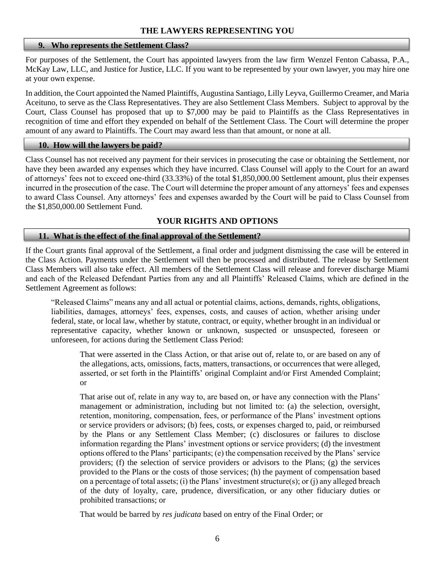#### **9. Who represents the Settlement Class?**

For purposes of the Settlement, the Court has appointed lawyers from the law firm Wenzel Fenton Cabassa, P.A., McKay Law, LLC, and Justice for Justice, LLC. If you want to be represented by your own lawyer, you may hire one at your own expense.

In addition, the Court appointed the Named Plaintiffs, Augustina Santiago, Lilly Leyva, Guillermo Creamer, and Maria Aceituno, to serve as the Class Representatives. They are also Settlement Class Members. Subject to approval by the Court, Class Counsel has proposed that up to \$7,000 may be paid to Plaintiffs as the Class Representatives in recognition of time and effort they expended on behalf of the Settlement Class. The Court will determine the proper amount of any award to Plaintiffs. The Court may award less than that amount, or none at all.

#### **10. How will the lawyers be paid?**

Class Counsel has not received any payment for their services in prosecuting the case or obtaining the Settlement, nor have they been awarded any expenses which they have incurred. Class Counsel will apply to the Court for an award of attorneys' fees not to exceed one-third (33.33%) of the total \$1,850,000.00 Settlement amount, plus their expenses incurred in the prosecution of the case. The Court will determine the proper amount of any attorneys' fees and expenses to award Class Counsel. Any attorneys' fees and expenses awarded by the Court will be paid to Class Counsel from the \$1,850,000.00 Settlement Fund.

# **YOUR RIGHTS AND OPTIONS**

## **11. What is the effect of the final approval of the Settlement?**

If the Court grants final approval of the Settlement, a final order and judgment dismissing the case will be entered in the Class Action. Payments under the Settlement will then be processed and distributed. The release by Settlement Class Members will also take effect. All members of the Settlement Class will release and forever discharge Miami and each of the Released Defendant Parties from any and all Plaintiffs' Released Claims, which are defined in the Settlement Agreement as follows:

"Released Claims" means any and all actual or potential claims, actions, demands, rights, obligations, liabilities, damages, attorneys' fees, expenses, costs, and causes of action, whether arising under federal, state, or local law, whether by statute, contract, or equity, whether brought in an individual or representative capacity, whether known or unknown, suspected or unsuspected, foreseen or unforeseen, for actions during the Settlement Class Period:

That were asserted in the Class Action, or that arise out of, relate to, or are based on any of the allegations, acts, omissions, facts, matters, transactions, or occurrences that were alleged, asserted, or set forth in the Plaintiffs' original Complaint and/or First Amended Complaint; or

That arise out of, relate in any way to, are based on, or have any connection with the Plans' management or administration, including but not limited to: (a) the selection, oversight, retention, monitoring, compensation, fees, or performance of the Plans' investment options or service providers or advisors; (b) fees, costs, or expenses charged to, paid, or reimbursed by the Plans or any Settlement Class Member; (c) disclosures or failures to disclose information regarding the Plans' investment options or service providers; (d) the investment options offered to the Plans' participants; (e) the compensation received by the Plans' service providers; (f) the selection of service providers or advisors to the Plans; (g) the services provided to the Plans or the costs of those services; (h) the payment of compensation based on a percentage of total assets; (i) the Plans' investment structure(s); or (j) any alleged breach of the duty of loyalty, care, prudence, diversification, or any other fiduciary duties or prohibited transactions; or

That would be barred by *res judicata* based on entry of the Final Order; or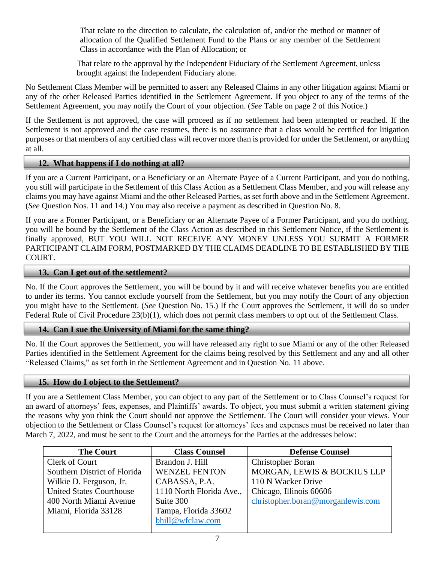That relate to the direction to calculate, the calculation of, and/or the method or manner of allocation of the Qualified Settlement Fund to the Plans or any member of the Settlement Class in accordance with the Plan of Allocation; or

That relate to the approval by the Independent Fiduciary of the Settlement Agreement, unless brought against the Independent Fiduciary alone.

No Settlement Class Member will be permitted to assert any Released Claims in any other litigation against Miami or any of the other Released Parties identified in the Settlement Agreement. If you object to any of the terms of the Settlement Agreement, you may notify the Court of your objection. (*See* Table on page 2 of this Notice.)

If the Settlement is not approved, the case will proceed as if no settlement had been attempted or reached. If the Settlement is not approved and the case resumes, there is no assurance that a class would be certified for litigation purposes or that members of any certified class will recover more than is provided for under the Settlement, or anything at all.

## **12. What happens if I do nothing at all?**

If you are a Current Participant, or a Beneficiary or an Alternate Payee of a Current Participant, and you do nothing, you still will participate in the Settlement of this Class Action as a Settlement Class Member, and you will release any claims you may have against Miami and the other Released Parties, as set forth above and in the Settlement Agreement. (*See* Question Nos. 11 and 14.) You may also receive a payment as described in Question No. 8.

If you are a Former Participant, or a Beneficiary or an Alternate Payee of a Former Participant, and you do nothing, you will be bound by the Settlement of the Class Action as described in this Settlement Notice, if the Settlement is finally approved, BUT YOU WILL NOT RECEIVE ANY MONEY UNLESS YOU SUBMIT A FORMER PARTICIPANT CLAIM FORM, POSTMARKED BY THE CLAIMS DEADLINE TO BE ESTABLISHED BY THE COURT.

## **13. Can I get out of the settlement?**

No. If the Court approves the Settlement, you will be bound by it and will receive whatever benefits you are entitled to under its terms. You cannot exclude yourself from the Settlement, but you may notify the Court of any objection you might have to the Settlement. (*See* Question No. 15.) If the Court approves the Settlement, it will do so under Federal Rule of Civil Procedure 23(b)(1), which does not permit class members to opt out of the Settlement Class.

## **14. Can I sue the University of Miami for the same thing?**

No. If the Court approves the Settlement, you will have released any right to sue Miami or any of the other Released Parties identified in the Settlement Agreement for the claims being resolved by this Settlement and any and all other "Released Claims," as set forth in the Settlement Agreement and in Question No. 11 above.

## **15. How do I object to the Settlement?**

If you are a Settlement Class Member, you can object to any part of the Settlement or to Class Counsel's request for an award of attorneys' fees, expenses, and Plaintiffs' awards. To object, you must submit a written statement giving the reasons why you think the Court should not approve the Settlement. The Court will consider your views. Your objection to the Settlement or Class Counsel's request for attorneys' fees and expenses must be received no later than March 7, 2022, and must be sent to the Court and the attorneys for the Parties at the addresses below:

| <b>The Court</b>                | <b>Class Counsel</b>     | <b>Defense Counsel</b>            |
|---------------------------------|--------------------------|-----------------------------------|
| Clerk of Court                  | Brandon J. Hill          | Christopher Boran                 |
| Southern District of Florida    | <b>WENZEL FENTON</b>     | MORGAN, LEWIS & BOCKIUS LLP       |
| Wilkie D. Ferguson, Jr.         | CABASSA, P.A.            | 110 N Wacker Drive                |
| <b>United States Courthouse</b> | 1110 North Florida Ave., | Chicago, Illinois 60606           |
| 400 North Miami Avenue          | Suite 300                | christopher.boran@morganlewis.com |
| Miami, Florida 33128            | Tampa, Florida 33602     |                                   |
|                                 | bhill@wfclaw.com         |                                   |